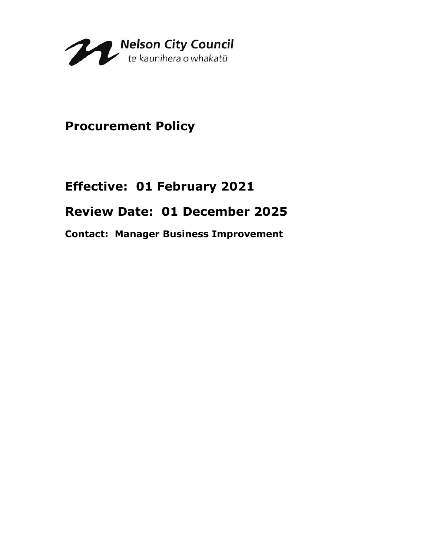

## **Procurement Policy**

# **Effective: 01 February 2021 Review Date: 01 December 2025**

**Contact: Manager Business Improvement**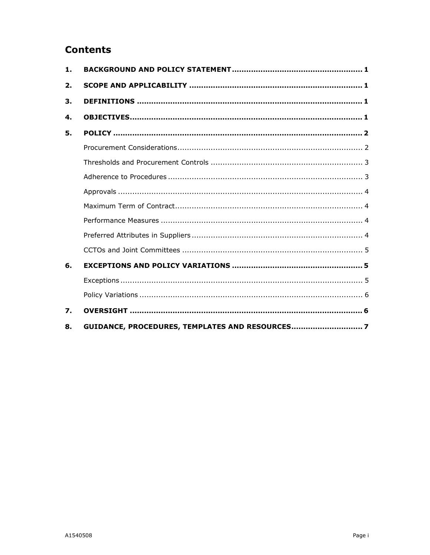### **Contents**

| $\mathbf{1}$ . |                                                |
|----------------|------------------------------------------------|
| 2.             |                                                |
| 3.             |                                                |
| 4.             |                                                |
| 5.             |                                                |
|                |                                                |
|                |                                                |
|                |                                                |
|                |                                                |
|                |                                                |
|                |                                                |
|                |                                                |
|                |                                                |
| 6.             |                                                |
|                |                                                |
|                |                                                |
| 7.             |                                                |
| 8.             | GUIDANCE, PROCEDURES, TEMPLATES AND RESOURCES7 |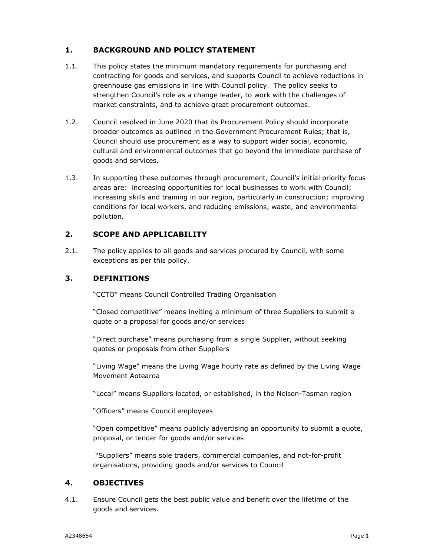#### **1. BACKGROUND AND POLICY STATEMENT**

- 1.1. This policy states the minimum mandatory requirements for purchasing and contracting for goods and services, and supports Council to achieve reductions in greenhouse gas emissions in line with Council policy. The policy seeks to strengthen Council's role as a change leader, to work with the challenges of market constraints, and to achieve great procurement outcomes.
- 1.2. Council resolved in June 2020 that its Procurement Policy should incorporate broader outcomes as outlined in the Government Procurement Rules; that is, Council should use procurement as a way to support wider social, economic, cultural and environmental outcomes that go beyond the immediate purchase of goods and services.
- 1.3. In supporting these outcomes through procurement, Council's initial priority focus areas are: increasing opportunities for local businesses to work with Council; increasing skills and training in our region, particularly in construction; improving conditions for local workers, and reducing emissions, waste, and environmental pollution.

#### **2. SCOPE AND APPLICABILITY**

2.1. The policy applies to all goods and services procured by Council, with some exceptions as per this policy.

#### **3. DEFINITIONS**

"CCTO" means Council Controlled Trading Organisation

"Closed competitive" means inviting a minimum of three Suppliers to submit a quote or a proposal for goods and/or services

"Direct purchase" means purchasing from a single Supplier, without seeking quotes or proposals from other Suppliers

"Living Wage" means the Living Wage hourly rate as defined by the Living Wage Movement Aotearoa

"Local" means Suppliers located, or established, in the Nelson-Tasman region

"Officers" means Council employees

"Open competitive" means publicly advertising an opportunity to submit a quote, proposal, or tender for goods and/or services

 "Suppliers" means sole traders, commercial companies, and not-for-profit organisations, providing goods and/or services to Council

#### **4. OBJECTIVES**

4.1. Ensure Council gets the best public value and benefit over the lifetime of the goods and services.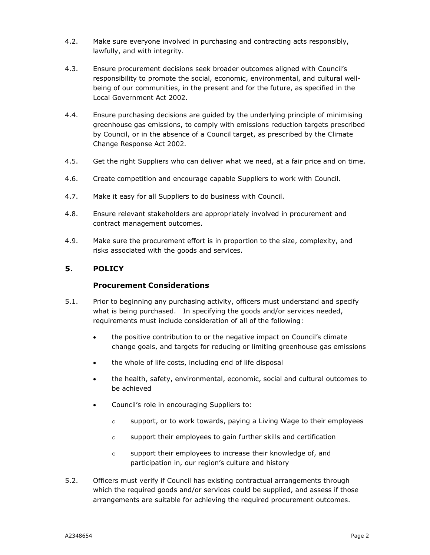- 4.2. Make sure everyone involved in purchasing and contracting acts responsibly, lawfully, and with integrity.
- 4.3. Ensure procurement decisions seek broader outcomes aligned with Council's responsibility to promote the social, economic, environmental, and cultural wellbeing of our communities, in the present and for the future, as specified in the Local Government Act 2002.
- 4.4. Ensure purchasing decisions are guided by the underlying principle of minimising greenhouse gas emissions, to comply with emissions reduction targets prescribed by Council, or in the absence of a Council target, as prescribed by the Climate Change Response Act 2002.
- 4.5. Get the right Suppliers who can deliver what we need, at a fair price and on time.
- 4.6. Create competition and encourage capable Suppliers to work with Council.
- 4.7. Make it easy for all Suppliers to do business with Council.
- 4.8. Ensure relevant stakeholders are appropriately involved in procurement and contract management outcomes.
- 4.9. Make sure the procurement effort is in proportion to the size, complexity, and risks associated with the goods and services.

#### **5. POLICY**

#### **Procurement Considerations**

- 5.1. Prior to beginning any purchasing activity, officers must understand and specify what is being purchased. In specifying the goods and/or services needed, requirements must include consideration of all of the following:
	- the positive contribution to or the negative impact on Council's climate change goals, and targets for reducing or limiting greenhouse gas emissions
	- the whole of life costs, including end of life disposal
	- the health, safety, environmental, economic, social and cultural outcomes to be achieved
	- Council's role in encouraging Suppliers to:
		- $\circ$  support, or to work towards, paying a Living Wage to their employees
		- o support their employees to gain further skills and certification
		- o support their employees to increase their knowledge of, and participation in, our region's culture and history
- 5.2. Officers must verify if Council has existing contractual arrangements through which the required goods and/or services could be supplied, and assess if those arrangements are suitable for achieving the required procurement outcomes.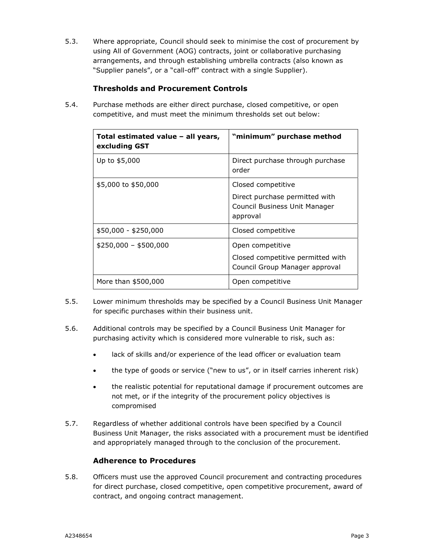5.3. Where appropriate, Council should seek to minimise the cost of procurement by using All of Government (AOG) contracts, joint or collaborative purchasing arrangements, and through establishing umbrella contracts (also known as "Supplier panels", or a "call-off" contract with a single Supplier).

#### **Thresholds and Procurement Controls**

5.4. Purchase methods are either direct purchase, closed competitive, or open competitive, and must meet the minimum thresholds set out below:

| Total estimated value – all years,<br>excluding GST | "minimum" purchase method                                                   |
|-----------------------------------------------------|-----------------------------------------------------------------------------|
| Up to \$5,000                                       | Direct purchase through purchase<br>order                                   |
| \$5,000 to \$50,000                                 | Closed competitive                                                          |
|                                                     | Direct purchase permitted with<br>Council Business Unit Manager<br>approval |
| $$50,000 - $250,000$                                | Closed competitive                                                          |
| $$250,000 - $500,000$                               | Open competitive                                                            |
|                                                     | Closed competitive permitted with<br>Council Group Manager approval         |
| More than \$500,000                                 | Open competitive                                                            |

- 5.5. Lower minimum thresholds may be specified by a Council Business Unit Manager for specific purchases within their business unit.
- 5.6. Additional controls may be specified by a Council Business Unit Manager for purchasing activity which is considered more vulnerable to risk, such as:
	- lack of skills and/or experience of the lead officer or evaluation team
	- the type of goods or service ("new to us", or in itself carries inherent risk)
	- the realistic potential for reputational damage if procurement outcomes are not met, or if the integrity of the procurement policy objectives is compromised
- 5.7. Regardless of whether additional controls have been specified by a Council Business Unit Manager, the risks associated with a procurement must be identified and appropriately managed through to the conclusion of the procurement.

#### **Adherence to Procedures**

5.8. Officers must use the approved Council procurement and contracting procedures for direct purchase, closed competitive, open competitive procurement, award of contract, and ongoing contract management.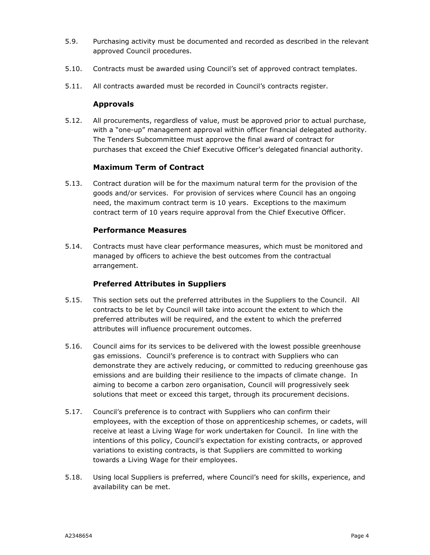- 5.9. Purchasing activity must be documented and recorded as described in the relevant approved Council procedures.
- 5.10. Contracts must be awarded using Council's set of approved contract templates.
- 5.11. All contracts awarded must be recorded in Council's contracts register.

#### **Approvals**

5.12. All procurements, regardless of value, must be approved prior to actual purchase, with a "one-up" management approval within officer financial delegated authority. The Tenders Subcommittee must approve the final award of contract for purchases that exceed the Chief Executive Officer's delegated financial authority.

#### **Maximum Term of Contract**

5.13. Contract duration will be for the maximum natural term for the provision of the goods and/or services. For provision of services where Council has an ongoing need, the maximum contract term is 10 years. Exceptions to the maximum contract term of 10 years require approval from the Chief Executive Officer.

#### **Performance Measures**

5.14. Contracts must have clear performance measures, which must be monitored and managed by officers to achieve the best outcomes from the contractual arrangement.

#### **Preferred Attributes in Suppliers**

- 5.15. This section sets out the preferred attributes in the Suppliers to the Council. All contracts to be let by Council will take into account the extent to which the preferred attributes will be required, and the extent to which the preferred attributes will influence procurement outcomes.
- 5.16. Council aims for its services to be delivered with the lowest possible greenhouse gas emissions. Council's preference is to contract with Suppliers who can demonstrate they are actively reducing, or committed to reducing greenhouse gas emissions and are building their resilience to the impacts of climate change. In aiming to become a carbon zero organisation, Council will progressively seek solutions that meet or exceed this target, through its procurement decisions.
- 5.17. Council's preference is to contract with Suppliers who can confirm their employees, with the exception of those on apprenticeship schemes, or cadets, will receive at least a Living Wage for work undertaken for Council. In line with the intentions of this policy, Council's expectation for existing contracts, or approved variations to existing contracts, is that Suppliers are committed to working towards a Living Wage for their employees.
- 5.18. Using local Suppliers is preferred, where Council's need for skills, experience, and availability can be met.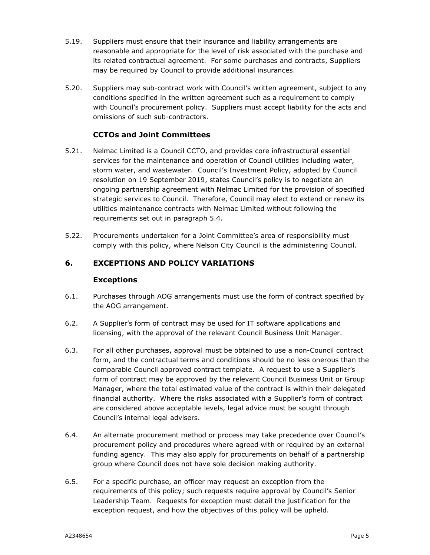- 5.19. Suppliers must ensure that their insurance and liability arrangements are reasonable and appropriate for the level of risk associated with the purchase and its related contractual agreement. For some purchases and contracts, Suppliers may be required by Council to provide additional insurances.
- 5.20. Suppliers may sub-contract work with Council's written agreement, subject to any conditions specified in the written agreement such as a requirement to comply with Council's procurement policy. Suppliers must accept liability for the acts and omissions of such sub-contractors.

#### **CCTOs and Joint Committees**

- 5.21. Nelmac Limited is a Council CCTO, and provides core infrastructural essential services for the maintenance and operation of Council utilities including water, storm water, and wastewater. Council's Investment Policy, adopted by Council resolution on 19 September 2019, states Council's policy is to negotiate an ongoing partnership agreement with Nelmac Limited for the provision of specified strategic services to Council. Therefore, Council may elect to extend or renew its utilities maintenance contracts with Nelmac Limited without following the requirements set out in paragraph 5.4.
- 5.22. Procurements undertaken for a Joint Committee's area of responsibility must comply with this policy, where Nelson City Council is the administering Council.

#### **6. EXCEPTIONS AND POLICY VARIATIONS**

#### **Exceptions**

- 6.1. Purchases through AOG arrangements must use the form of contract specified by the AOG arrangement.
- 6.2. A Supplier's form of contract may be used for IT software applications and licensing, with the approval of the relevant Council Business Unit Manager.
- 6.3. For all other purchases, approval must be obtained to use a non-Council contract form, and the contractual terms and conditions should be no less onerous than the comparable Council approved contract template. A request to use a Supplier's form of contract may be approved by the relevant Council Business Unit or Group Manager, where the total estimated value of the contract is within their delegated financial authority. Where the risks associated with a Supplier's form of contract are considered above acceptable levels, legal advice must be sought through Council's internal legal advisers.
- 6.4. An alternate procurement method or process may take precedence over Council's procurement policy and procedures where agreed with or required by an external funding agency. This may also apply for procurements on behalf of a partnership group where Council does not have sole decision making authority.
- 6.5. For a specific purchase, an officer may request an exception from the requirements of this policy; such requests require approval by Council's Senior Leadership Team. Requests for exception must detail the justification for the exception request, and how the objectives of this policy will be upheld.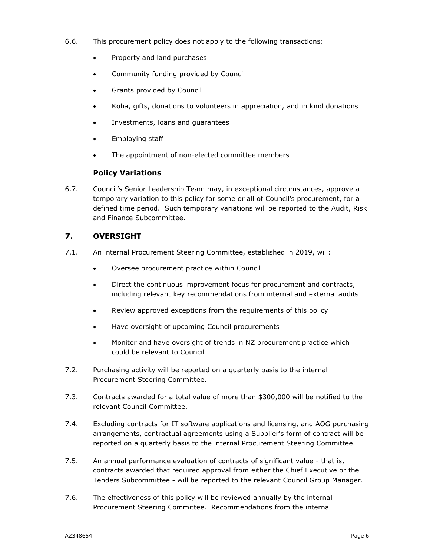- 6.6. This procurement policy does not apply to the following transactions:
	- Property and land purchases
	- Community funding provided by Council
	- Grants provided by Council
	- Koha, gifts, donations to volunteers in appreciation, and in kind donations
	- Investments, loans and guarantees
	- Employing staff
	- The appointment of non-elected committee members

#### **Policy Variations**

6.7. Council's Senior Leadership Team may, in exceptional circumstances, approve a temporary variation to this policy for some or all of Council's procurement, for a defined time period. Such temporary variations will be reported to the Audit, Risk and Finance Subcommittee.

#### **7. OVERSIGHT**

- 7.1. An internal Procurement Steering Committee, established in 2019, will:
	- Oversee procurement practice within Council
	- Direct the continuous improvement focus for procurement and contracts, including relevant key recommendations from internal and external audits
	- Review approved exceptions from the requirements of this policy
	- Have oversight of upcoming Council procurements
	- Monitor and have oversight of trends in NZ procurement practice which could be relevant to Council
- 7.2. Purchasing activity will be reported on a quarterly basis to the internal Procurement Steering Committee.
- 7.3. Contracts awarded for a total value of more than \$300,000 will be notified to the relevant Council Committee.
- 7.4. Excluding contracts for IT software applications and licensing, and AOG purchasing arrangements, contractual agreements using a Supplier's form of contract will be reported on a quarterly basis to the internal Procurement Steering Committee.
- 7.5. An annual performance evaluation of contracts of significant value that is, contracts awarded that required approval from either the Chief Executive or the Tenders Subcommittee - will be reported to the relevant Council Group Manager.
- 7.6. The effectiveness of this policy will be reviewed annually by the internal Procurement Steering Committee. Recommendations from the internal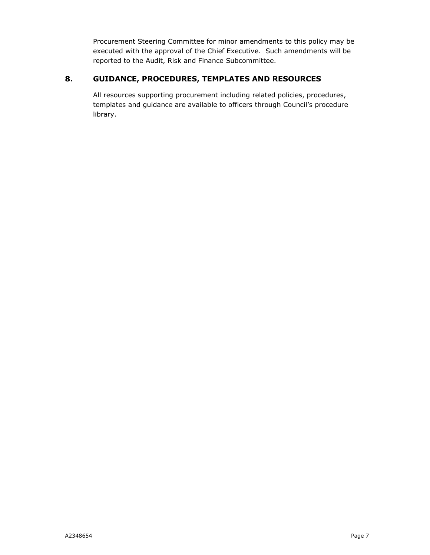Procurement Steering Committee for minor amendments to this policy may be executed with the approval of the Chief Executive. Such amendments will be reported to the Audit, Risk and Finance Subcommittee.

#### **8. GUIDANCE, PROCEDURES, TEMPLATES AND RESOURCES**

All resources supporting procurement including related policies, procedures, templates and guidance are available to officers through Council's procedure library.